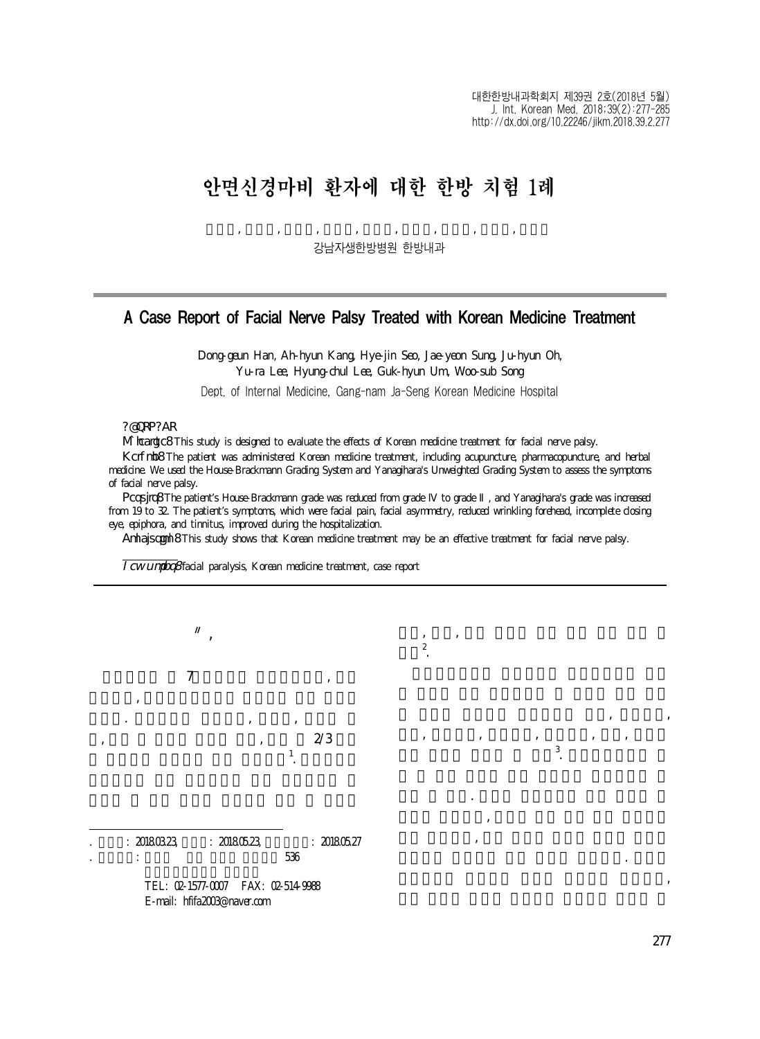$\lambda$ ,  $\lambda$ ,  $\lambda$ ,  $\lambda$ ,  $\lambda$ ,  $\lambda$ ,  $\lambda$ ,  $\lambda$ ,  $\lambda$ ,  $\lambda$ ,  $\lambda$ ,  $\lambda$ ,  $\lambda$ ,  $\lambda$ ,  $\lambda$ ,  $\lambda$ ,  $\lambda$ ,  $\lambda$ ,  $\lambda$ ,  $\lambda$ ,  $\lambda$ ,  $\lambda$ ,  $\lambda$ ,  $\lambda$ ,  $\lambda$ ,  $\lambda$ ,  $\lambda$ ,  $\lambda$ ,  $\lambda$ ,  $\lambda$ ,  $\lambda$ ,  $\lambda$ ,  $\lambda$ ,  $\lambda$ ,  $\lambda$ ,  $\lambda$ ,  $\lambda$ ,

 $\theta$ 통증, 구음장애, 미각소실, 청각과민, 이명, 유루증

류할 수 있다. 중추성 안면마비의 경우 뇌혈관 질  $\ddotsc$  $\mathcal{S}$ 발생하고 안면하부 근육 기능이 저하된다. 말초성  $\mathcal{N}$ 

등의 등의 등의 등의 등의 등의 등의 등의 등의 등의 등의 등의<br>등의 등의 등의 등의 등의 등의 등의 등의 등의 등의 등의 등의 등의

## 안면신경마비 환자에 대한 한방 치험 1례

한동근, 강아현, 서혜진, 성재연, 오주현, 이유라, 이형철, 엄국현, 송우섭

강남자생한방병원 한방내과

## A Case Report of Facial Nerve Palsy Treated with Korean Medicine Treatment

Dong-geun Han, Ah-hyun Kang, Hye-jin Seo, Jae-yeon Sung, Ju-hyun Oh, Yu-ra Lee, Hyung-chul Lee, Guk-hyun Um, Woo-sub Song Dept. of Internal Medicine, Gang-nam Ja-Seng Korean Medicine Hospital

## **ABSTRACT**

Objective: This study is designed to evaluate the effects of Korean medicine treatment for facial nerve palsy.

Method: The patient was administered Korean medicine treatment, including acupuncture, pharmacopuncture, and herbal medicine. We used the House-Brackmann Grading System and Yanagihara's Unweighted Grading System to assess the symptoms of facial nerve palsy.

Results: The patient's House-Brackmann grade was reduced from grade to grade , and Yanagihara's grade was increased from 19 to 32. The patient's symptoms, which were facial pain, facial asymmetry, reduced wrinkling forehead, incomplete closing eye, epiphora, and tinnitus, improved during the hospitalization.

Conclusion: This study shows that Korean medicine treatment may be an effective treatment for facial nerve palsy.

있다2 .

Key words: facial paralysis, Korean medicine treatment, case report



. 안면신경마비는 원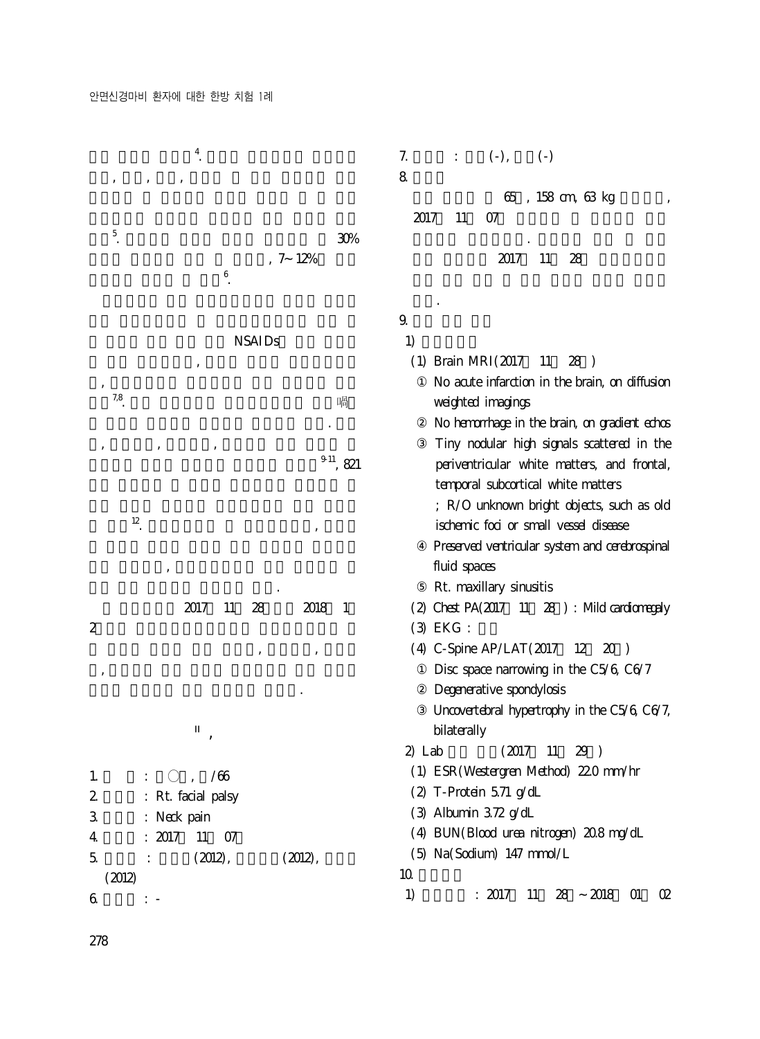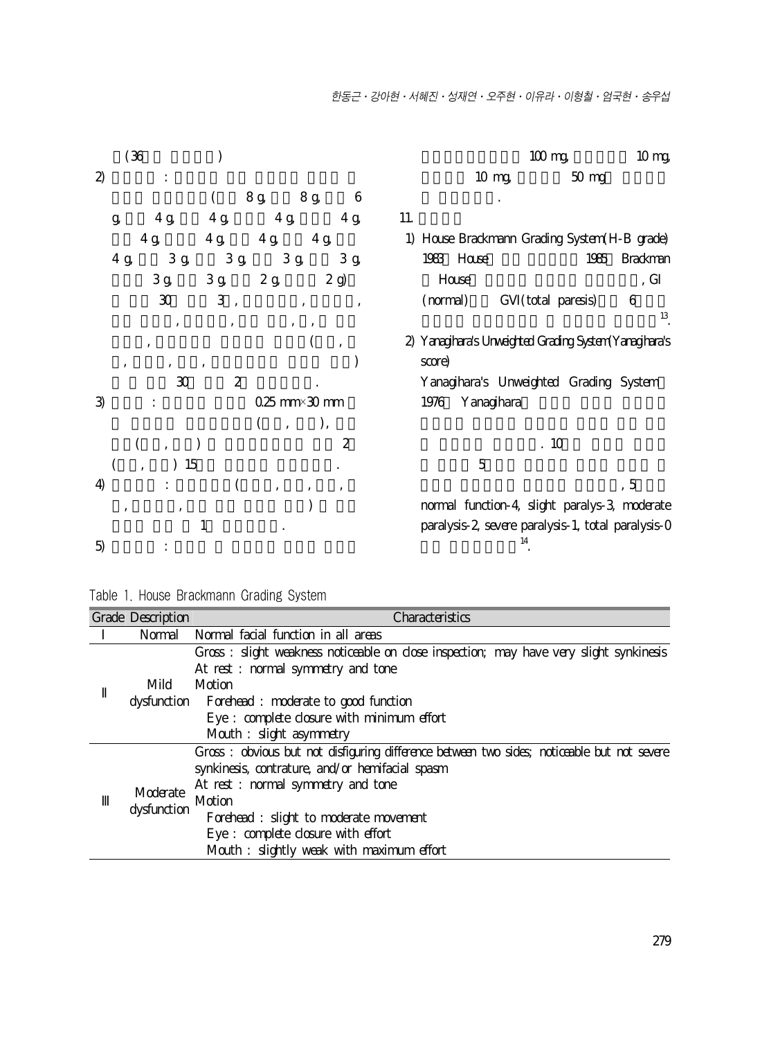| (36)<br>$100 \text{ mg}$                                                                       | 10 <sub>mg</sub> |
|------------------------------------------------------------------------------------------------|------------------|
| $\mathfrak{D}$<br>10 mg<br>$50$ mg                                                             |                  |
| 8g<br>8 g<br>6                                                                                 |                  |
| 4g<br>4g<br>11.<br>4g<br>4g<br>g                                                               |                  |
| 4g<br>4g<br>1) House Brackmann Grading System (H-B grade)<br>4g<br>4g                          |                  |
| $3\,\mathrm g$<br>$3\,\mathrm g$<br>3g<br>$3\,\mathrm g$<br>1983 House<br>$4\ {\rm g}$<br>1985 | <b>Brackman</b>  |
| $3\,\mathrm g$<br>$3\,\mathrm g$<br>$2\,\mathrm g$<br>2g)<br>House                             | , G              |
| $\rm 30$<br>3<br>(total paresis)<br>(normal)<br>G<br>$\overline{\phantom{a}}$<br>$\cdot$       | 6                |
|                                                                                                | 13               |
| Yanagihara's Unweighted Grading System Yanagihara's<br>2)<br>$\cdot$                           |                  |
| score)                                                                                         |                  |
| 2<br>$\mathfrak{D}$<br>Yanagihara's Unweighted Grading System                                  |                  |
| $025$ mm $\times 30$ mm<br>Yanagihara<br>1976<br>3)                                            |                  |
|                                                                                                |                  |
| .10<br>$\overline{c}$                                                                          |                  |
| $\overline{5}$<br>15                                                                           |                  |
| 4)                                                                                             | , 5              |
| normal function-4, slight paralys-3, moderate<br>$\overline{\phantom{a}}$                      |                  |
| paralysis-2, severe paralysis-1, total paralysis-0<br>1<br>14<br>5)                            |                  |

Table 1. House Brackmann Grading System

| Grade Description | Characteristics                                                                            |
|-------------------|--------------------------------------------------------------------------------------------|
| Normal            | Normal facial function in all areas                                                        |
|                   | Gross: slight weakness noticeable on close inspection; may have very slight synkinesis     |
|                   | At rest: normal symmetry and tone                                                          |
| Mild              | Motion                                                                                     |
|                   | dysfunction Forehead : moderate to good function                                           |
|                   | Eye : complete closure with minimum effort                                                 |
|                   | Mouth : slight asymmetry                                                                   |
|                   | Gross: obvious but not disfiguring difference between two sides; noticeable but not severe |
|                   | synkinesis, contrature, and/or hemifacial spasm                                            |
| Moderate          | At rest: normal symmetry and tone                                                          |
|                   | Motion                                                                                     |
| dysfunction       | Forehead : slight to moderate movement                                                     |
|                   | Eye : complete closure with effort                                                         |
|                   | Mouth: slightly weak with maximum effort                                                   |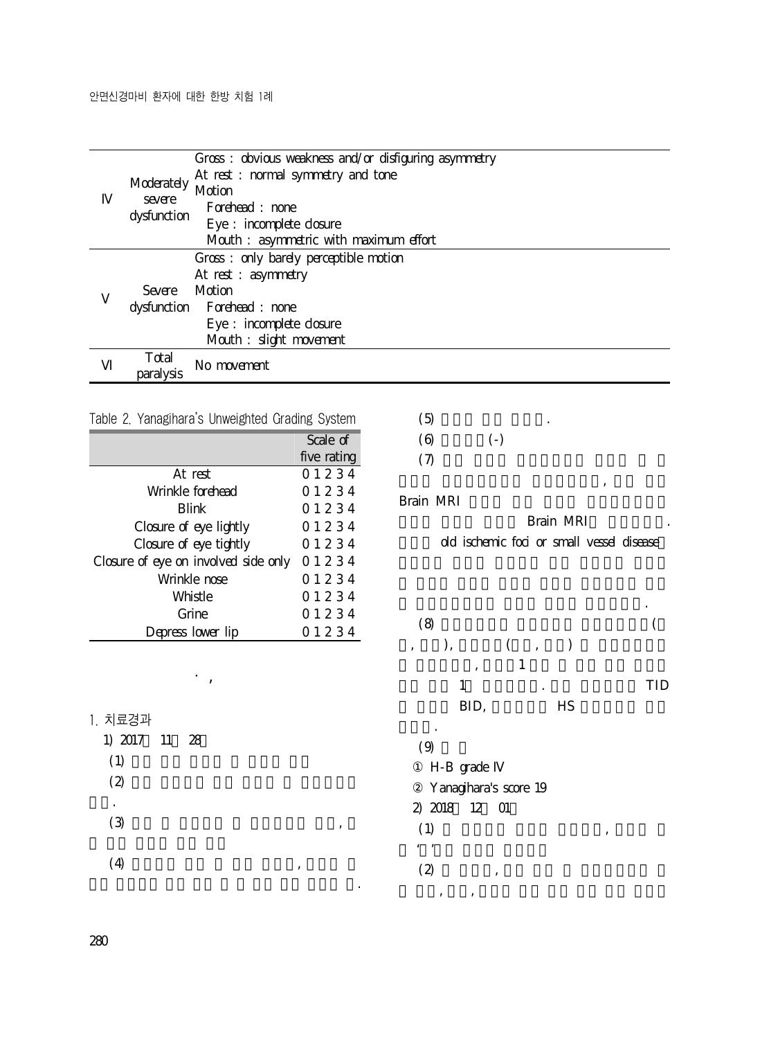|                    | Gross: obvious weakness and/or disfiguring asymmetry |
|--------------------|------------------------------------------------------|
|                    | At rest: normal symmetry and tone                    |
| Moderately         | Motion                                               |
| severe             | Forehead : none                                      |
| dysfunction        | Eye : incomplete closure                             |
|                    | Mouth: asymmetric with maximum effort                |
|                    | Gross: only barely perceptible motion                |
|                    | At rest : asymmetry                                  |
| Severe Motion      |                                                      |
|                    | dysfunction Forehead : none                          |
|                    | Eye : incomplete closure                             |
|                    | Mouth : slight movement                              |
| Total<br>paralysis | No movement                                          |

|  |  |  |  | Table 2. Yanagihara's Unweighted Grading System |
|--|--|--|--|-------------------------------------------------|
|--|--|--|--|-------------------------------------------------|

|                                      | Scale of    |
|--------------------------------------|-------------|
|                                      | five rating |
| At rest                              | 01234       |
| Wrinkle forehead                     | 01234       |
| <b>Blink</b>                         | 01234       |
| Closure of eye lightly               | 01234       |
| Closure of eye tightly               | 01234       |
| Closure of eye on involved side only | 01234       |
| Wrinkle nose                         | 01234       |
| Whistle                              | 01234       |
| Grine                                | 01234       |
| Depress lower lip                    | 01234       |

Ⅲ. 결 과

1. 치료경과

| 1) 2017 11 28 |  |  |   |   |   |
|---------------|--|--|---|---|---|
| (1)           |  |  |   |   |   |
| (2)           |  |  |   |   |   |
| ٠             |  |  |   |   |   |
| (3)           |  |  |   | , |   |
|               |  |  |   |   |   |
| (4)           |  |  | , |   |   |
|               |  |  |   |   | ٠ |

 $(5)$  $(6)$   $(-)$  $(7)$ 

Brain MRI

Brain MRI dd ischemic foci or small vessel disease

 $j$ 

 $(8)$  $\, , \qquad \, \big) , \qquad \qquad \big( \qquad , \qquad \big)$  $\qquad \qquad \text{.} \qquad \qquad 1$  $1$   $\ldots$  TID BID, HS

성 안면신경마비에 준하여 치료를 진행하였다.

 $\ddot{\phantom{0}}$  $(9)$ 

H-B grade

- Yanagihara's score 19
- 2) 2018 12 01
- $(1)$ ,
- $\mathcal{L}$  '2'  $\mathcal{L}$  '2'  $\mathcal{L}$  '2'  $\mathcal{L}$  '2'  $\mathcal{L}$  '2'  $\mathcal{L}$  '2'  $\mathcal{L}$  '2'  $\mathcal{L}$  '2'  $\mathcal{L}$  '2'  $\mathcal{L}$  '2'  $\mathcal{L}$  '2'  $\mathcal{L}$  '2'  $\mathcal{L}$  '2'  $\mathcal{L}$  '2'  $\mathcal{L}$  '2'  $\mathcal{L}$  '2'  $\mathcal{L}$  '2'
	- $(2)$  ,
	- $\mathcal{O}(\mathcal{O}(\epsilon))$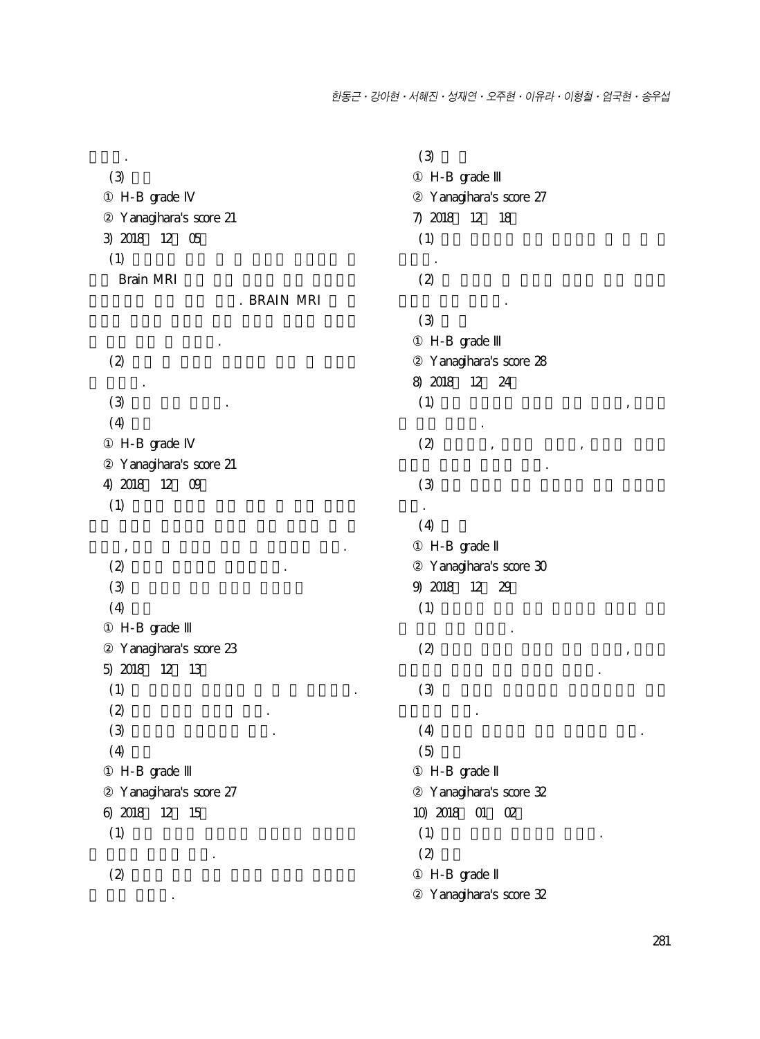비슷함.  $(3)$ H-B grade Yanagihara's score 21 3) 2018 12 05  $(1)$ Brain MRI . BRAIN MRI 약 처방 받은 후 귀원함.  $\left(2\right)$ 을 호소함.  $(3)$  $(4)$ H-B grade Yanagihara's score 21 4) 2018 12 09  $(1)$  $\mathcal{O}(\mathcal{A})$  , we are the transformation  $\mathcal{A}$ .  $(2)$   $(2)$  $(3)$  $(4)$ H-B grade Yanagihara's score 23 5) 2018 12 13  $(1)$  $(2)$  $(3)$   $(3)$  $(4)$ H-B grade Yanagihara's score 27 6) 2018 12 15  $(1)$ 로 줄어든 느낌이 있음.  $\left(2\right)$ 

다 많이 편해짐.

 $(3)$ H-B grade Yanagihara's score 27 7) 2018 12 18  $(1)$ 루어짐.  $\left(2\right)$ 호전된 채로 유지됨.  $(3)$ H-B grade Yanagihara's score 28 8) 2018 12 24  $(1)$ , 이 매우 감소함. (2) 이마주름, 눈꼬리 올리기, 입꼬리 올리기 동작의 전반적 호전을 보임.  $\left(3\right)$ 않음.  $(4)$ H-B grade Yanagihara's score 30 9) 2018 12 29  $(1)$ 에 비해 매우 호전됨.  $\left( 2\right)$  , expansion of  $\left( 2\right)$ 흘리거나 불편감 없는 식사가 가능함.  $(3)$ 불편감을 느낌.  $(4)$  $(5)$ H-B grade Yanagihara's score 32 10) 2018 01 02  $(1)$   $(2)$  $(2)$ H-B grade Yanagihara's score 32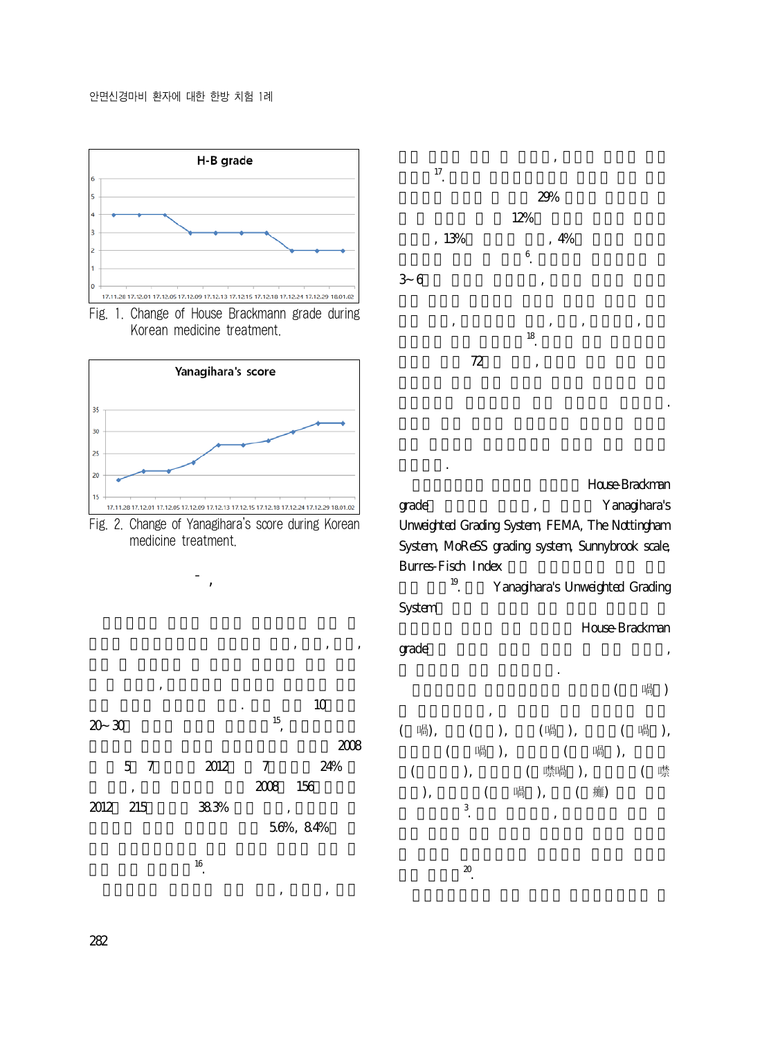







Ⅳ. 고 찰









House-Brackman grade extensive production of the Yanagihara's Unweighted Grading System, FEMA, The Nottingham System, MoReSS grading system, Sunnybrook scale, Burres-Fisch Index

필요하다.

 $\sum_{i=1}^{\infty}$ 

<sup>19</sup>. Yanagihara's Unweighted Grading System







282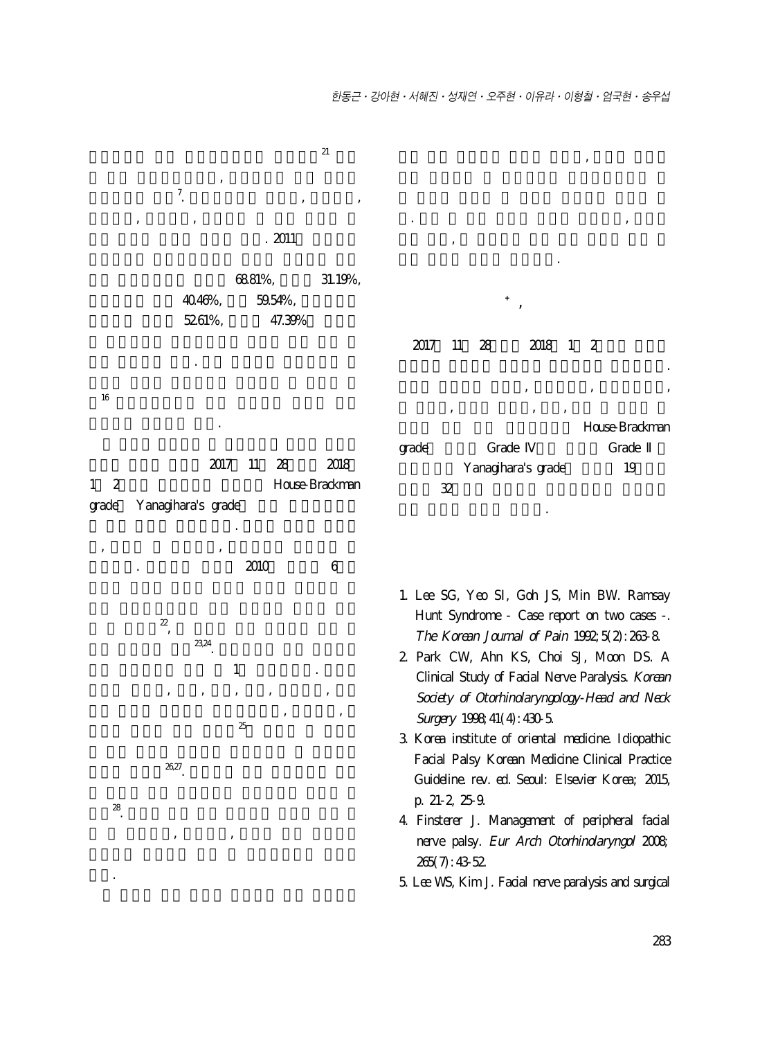

였다.

265(7):43-52. 5. Lee WS, Kim J. Facial nerve paralysis and surgical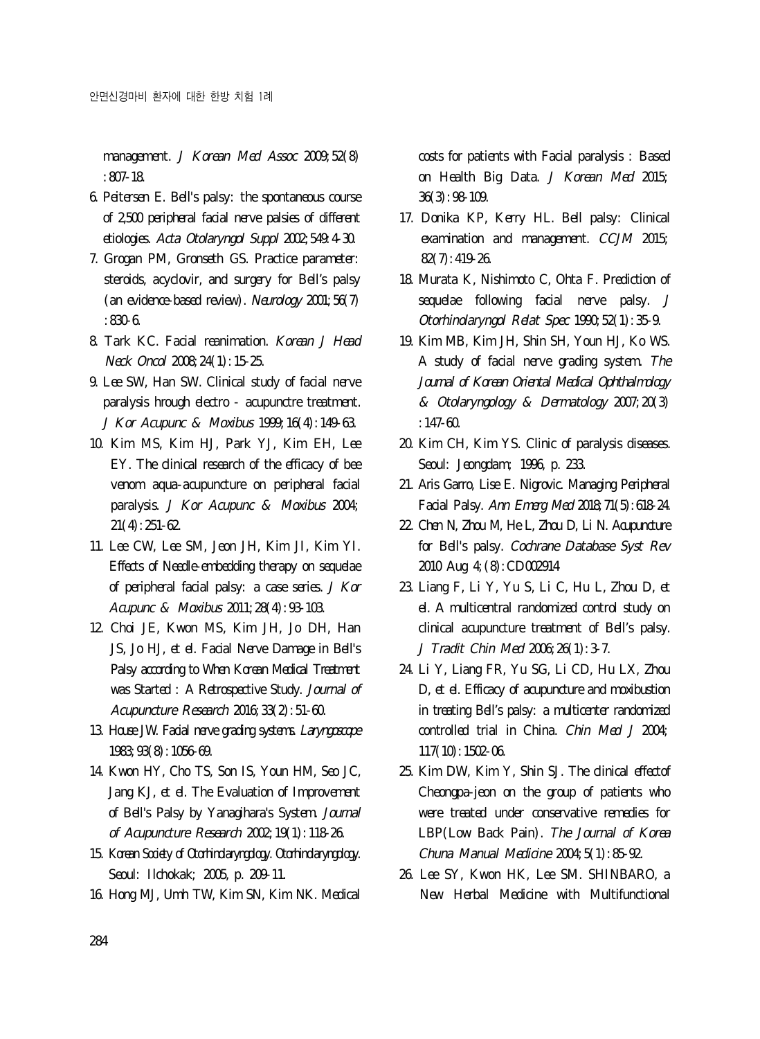management. J Korean Med Assoc 2009; 52(8) :807-18.

- 6. Peitersen E. Bell's palsy: the spontaneous course of 2,500 peripheral facial nerve palsies of different etiologies. Acta Otolaryngol Suppl 2002;549:4-30.
- 7. Grogan PM, Gronseth GS. Practice parameter: steroids, acyclovir, and surgery for Bell's palsy (an evidence-based review). Neurology  $200$ :  $56(7)$  $.8306$
- 8. Tark KC. Facial reanimation. Korean J Head Neck Oncol 2008;24(1):15-25.
- 9. Lee SW, Han SW. Clinical study of facial nerve paralysis hrough electro - acupunctre treatment. J Kor Acupunc & Moxibus 1999;16(4):149-63.
- 10. Kim MS, Kim HJ, Park YJ, Kim EH, Lee EY. The clinical research of the efficacy of bee venom aqua-acupuncture on peripheral facial paralysis. J Kor Acupunc & Moxibus 2004; 21(4):251-62.
- 11. Lee CW, Lee SM, Jeon JH, Kim JI, Kim YI. Effects of Needle-embedding therapy on sequelae of peripheral facial palsy: a case series.  $J K \alpha r$ Acupunc & Moxibus 2011; 28(4): 93-103.
- 12. Choi JE, Kwon MS, Kim JH, Jo DH, Han JS, Jo HJ, et el. Facial Nerve Damage in Bell's Palsy according to When Korean Medical Treatment was Started : A Retrospective Study. Journal of Acupuncture Research  $2016;33(2):51-60$ .
- 13. House JW. Facial nerve grading systems. Laryngoscope 1983;93(8):1056-69.
- 14. Kwon HY, Cho TS, Son IS, Youn HM, Seo JC, Jang KJ, et el. The Evaluation of Improvement of Bell's Palsy by Yanagihara's System. Journal of Acupuncture Research 2002;19(1):118-26.
- 15. Korean Society of Otorhindaryngology. Otorhindaryngology. Seoul: Ilchokak; 2005, p. 209-11.
- 16. Hong MJ, Umh TW, Kim SN, Kim NK. Medical

costs for patients with Facial paralysis : Based on Health Big Data. J Korean Med 2015; 36(3):98-109.

- 17. Donika KP, Kerry HL. Bell palsy: Clinical examination and management. CCJM 2015; 82(7):419-26.
- 18. Murata K, Nishimoto C, Ohta F. Prediction of sequelae following facial nerve palsy. J Otorhinolaryngol Relat Spec 1990; 52(1): 35-9.
- 19. Kim MB, Kim JH, Shin SH, Youn HJ, Ko WS. A study of facial nerve grading system. The Journal of Korean Oriental Medical Ophthalmology & Otolaryngology & Dermatology 2007;20(3) :147-60.
- 20. Kim CH, Kim YS. Clinic of paralysis diseases. Seoul: Jeongdam; 1996, p. 233.
- 21. Aris Garro, Lise E. Nigrovic. Managing Peripheral Facial Palsy. Ann Emerg Med 2018;71(5):618-24.
- 22. Chen N, Zhou M, He L, Zhou D, Li N. Acupuncture for Bell's palsy. Cochrane Database Syst Rev 2010 Aug 4;(8):CD002914
- 23. Liang F, Li Y, Yu S, Li C, Hu L, Zhou D, et el. A multicentral randomized control study on clinical acupuncture treatment of Bell's palsy. J Tradit Chin Med 2006;26(1):3-7.
- 24. Li Y, Liang FR, Yu SG, Li CD, Hu LX, Zhou D, et el. Efficacy of acupuncture and moxibustion in treating Bell's palsy: a multicenter randomized controlled trial in China. Chin Med J 2004; 117(10):1502-06.
- 25. Kim DW, Kim Y, Shin SJ. The clinical effectof Cheongpa-jeon on the group of patients who were treated under conservative remedies for LBP(Low Back Pain). The Journal of Korea Chuna Manual Medicine 2004; 5(1): 85-92.
- 26. Lee SY, Kwon HK, Lee SM. SHINBARO, a New Herbal Medicine with Multifunctional